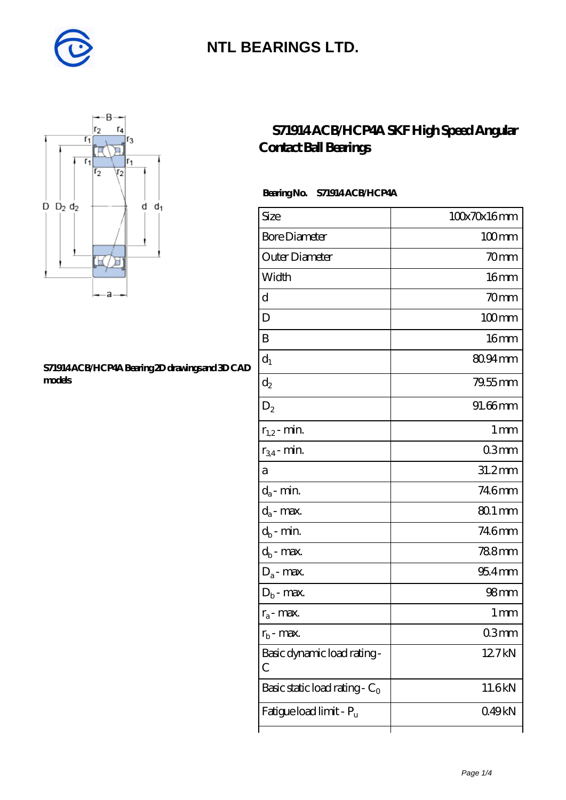



#### **[S71914 ACB/HCP4A Bearing 2D drawings and 3D CAD](https://m.diabetesfriends.net/pic-590844.html) [models](https://m.diabetesfriends.net/pic-590844.html)**

### **[S71914 ACB/HCP4A SKF High Speed Angular](https://m.diabetesfriends.net/skf-bearing/s71914-acb-hcp4a.html) [Contact Ball Bearings](https://m.diabetesfriends.net/skf-bearing/s71914-acb-hcp4a.html)**

#### **Bearing No. S71914 ACB/HCP4A**

| Size                             | 100x70x16mm      |
|----------------------------------|------------------|
| <b>Bore Diameter</b>             | $100$ mm         |
| Outer Diameter                   | 70mm             |
| Width                            | 16mm             |
| d                                | 70mm             |
| D                                | $100$ mm         |
| B                                | 16 <sub>mm</sub> |
| $d_1$                            | 80.94mm          |
| $\mathrm{d}_2$                   | 79.55 mm         |
| $D_2$                            | 91.66mm          |
| $r_{1,2}$ - min.                 | 1 <sub>mm</sub>  |
| $r_{34}$ - min.                  | 03 <sub>mm</sub> |
| а                                | 31.2mm           |
| $d_a$ - min.                     | 746mm            |
| $d_{\rm a}$ - max.               | 80.1 mm          |
| $d_b$ - min.                     | 746mm            |
| $d_b$ - max.                     | 788mm            |
| $D_a$ - max.                     | $954$ mm         |
| $D_b$ - max.                     | 98 <sub>mm</sub> |
| $r_a$ - max.                     | 1 mm             |
| $r_{\rm b}$ - max.               | 03mm             |
| Basic dynamic load rating-<br>С  | 127kN            |
| Basic static load rating - $C_0$ | 11.6kN           |
| Fatigue load limit - Pu          | 049kN            |
|                                  |                  |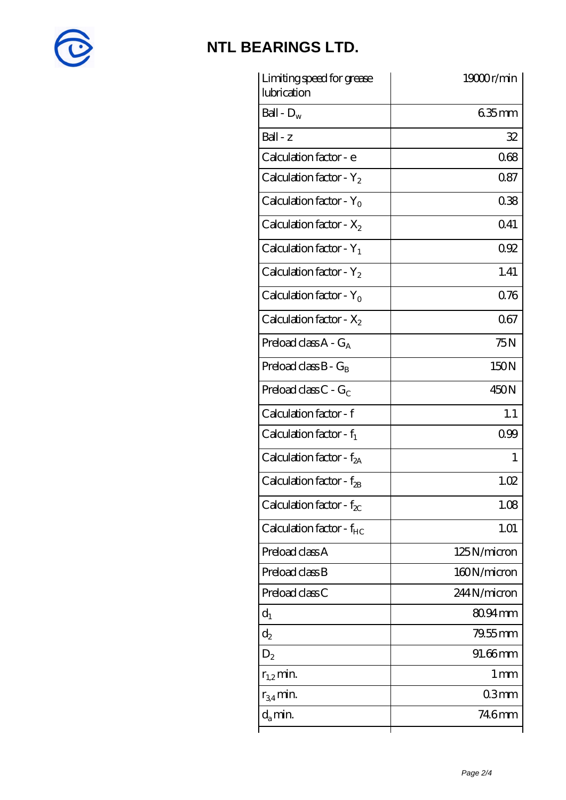

| Limiting speed for grease<br>lubrication | 19000r/min      |
|------------------------------------------|-----------------|
| Ball - $D_w$                             | $635$ mm        |
| $Ball - z$                               | 32              |
| Calculation factor - e                   | 068             |
| Calculation factor - $Y_2$               | 087             |
| Calculation factor - Y <sub>0</sub>      | 038             |
| Calculation factor - $X_2$               | 041             |
| Calculation factor - $Y_1$               | 092             |
| Calculation factor - $Y_2$               | 1.41            |
| Calculation factor - $Y_0$               | 076             |
| Calculation factor - $X_2$               | 067             |
| Preload class $A - G_A$                  | 75N             |
| Preload class $B - G_B$                  | 150N            |
| Preload class $C$ - $G_C$                | 450N            |
| Calculation factor - f                   | 1.1             |
| Calculation factor - $f_1$               | 0.99            |
| Calculation factor - $f_{2A}$            | 1               |
| Calculation factor - f <sub>2B</sub>     | 1.02            |
| Calculation factor - $f_{\chi}$          | 1.08            |
| Calculation factor - $f_{HC}$            | 1.01            |
| Preload class A                          | 125N/micron     |
| Preload class B                          | 160N/micron     |
| Preload class C                          | 244N/micron     |
| $d_1$                                    | 80.94mm         |
| $\mathrm{d}_2$                           | $79.55$ mm      |
| $D_2$                                    | 91.66mm         |
| $r_{1,2}$ min.                           | 1 <sub>mm</sub> |
| $r_{34}$ min.                            | 03mm            |
| $d_{a}$ min.                             | 746mm           |
|                                          |                 |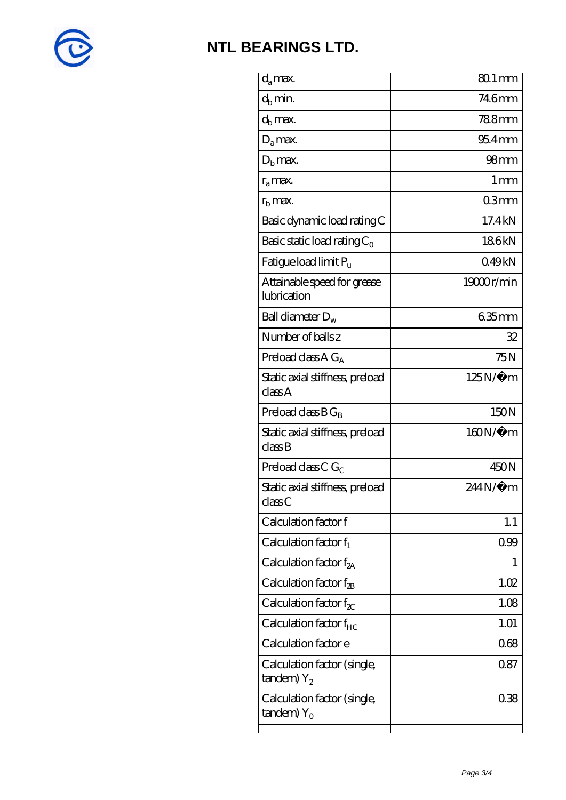

| $d_a$ max.                                               | 80.1 mm             |
|----------------------------------------------------------|---------------------|
| $d_h$ min.                                               | 746mm               |
| $d_b$ max.                                               | <b>788mm</b>        |
| $D_a$ max.                                               | $954$ <sub>mm</sub> |
| $Db$ max.                                                | 98 <sub>mm</sub>    |
| $r_{\rm a}$ max.                                         | $1 \,\mathrm{mm}$   |
| $rb$ max.                                                | 03mm                |
| Basic dynamic load rating C                              | 17.4 kN             |
| Basic static load rating $C_0$                           | 186kN               |
| Fatigue load limit $P_{\rm u}$                           | 049kN               |
| Attainable speed for grease<br>lubrication               | 19000r/min          |
| Ball diameter $D_w$                                      | 635mm               |
| Number of balls z                                        | 32                  |
| Preload class $AG_A$                                     | 75N                 |
| Static axial stiffness, preload<br>classA                | 125N/μ m            |
| Preload class $BG_B$                                     | 150N                |
| Static axial stiffness, preload<br>classB                | 160N/μ m            |
| Preload class C $G_C$                                    | 450N                |
| Static axial stiffness, preload<br>classC                | $244N/\mu$ m        |
| Calculation factor f                                     | 1.1                 |
| Calculation factor $f_1$                                 | 099                 |
| C alculation factor $f_{2A}$                             | 1                   |
| Calculation factor $f_{\mathcal{R}}$                     | 1.02                |
| Calculation factor $f_{\chi}$                            | 1.08                |
| Calculation factor $f_{HC}$                              | 1.01                |
| Calculation factor e                                     | 068                 |
| Calculation factor (single,<br>$t$ andem) $Y_2$          | 087                 |
| Calculation factor (single,<br>$t$ andem) Y <sub>o</sub> | 038                 |
|                                                          |                     |